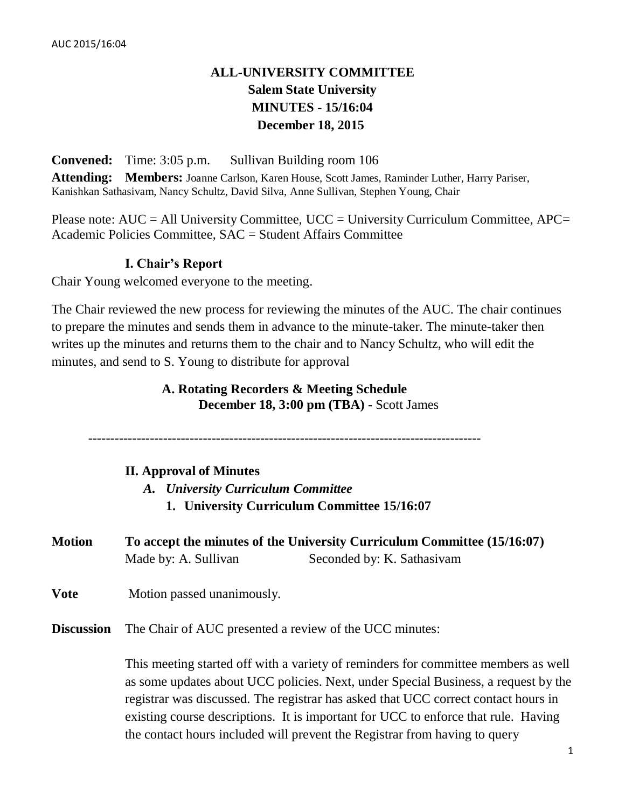# **ALL-UNIVERSITY COMMITTEE Salem State University MINUTES - 15/16:04 December 18, 2015**

**Convened:** Time: 3:05 p.m. Sullivan Building room 106

**Attending: Members:** Joanne Carlson, Karen House, Scott James, Raminder Luther, Harry Pariser, Kanishkan Sathasivam, Nancy Schultz, David Silva, Anne Sullivan, Stephen Young, Chair

Please note:  $AUC = All University Committee$ ,  $UCC = University Current$  Curriculum Committee,  $APC =$ Academic Policies Committee, SAC = Student Affairs Committee

### **I. Chair's Report**

Chair Young welcomed everyone to the meeting.

The Chair reviewed the new process for reviewing the minutes of the AUC. The chair continues to prepare the minutes and sends them in advance to the minute-taker. The minute-taker then writes up the minutes and returns them to the chair and to Nancy Schultz, who will edit the minutes, and send to S. Young to distribute for approval

## **A. Rotating Recorders & Meeting Schedule December 18, 3:00 pm (TBA) -** Scott James

-----------------------------------------------------------------------------------------

#### **II. Approval of Minutes**

- *A. University Curriculum Committee* **1. University Curriculum Committee 15/16:07**
- **Motion To accept the minutes of the University Curriculum Committee (15/16:07)** Made by: A. Sullivan Seconded by: K. Sathasivam
- **Vote** Motion passed unanimously.

**Discussion** The Chair of AUC presented a review of the UCC minutes:

This meeting started off with a variety of reminders for committee members as well as some updates about UCC policies. Next, under Special Business, a request by the registrar was discussed. The registrar has asked that UCC correct contact hours in existing course descriptions. It is important for UCC to enforce that rule. Having the contact hours included will prevent the Registrar from having to query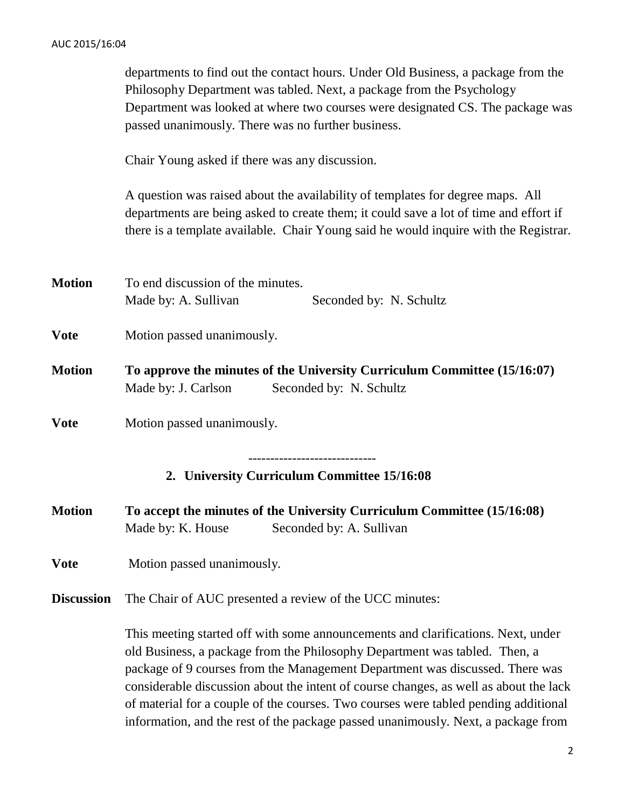|                   | departments to find out the contact hours. Under Old Business, a package from the<br>Philosophy Department was tabled. Next, a package from the Psychology<br>Department was looked at where two courses were designated CS. The package was<br>passed unanimously. There was no further business.                                                                                                                             |  |  |
|-------------------|--------------------------------------------------------------------------------------------------------------------------------------------------------------------------------------------------------------------------------------------------------------------------------------------------------------------------------------------------------------------------------------------------------------------------------|--|--|
|                   | Chair Young asked if there was any discussion.                                                                                                                                                                                                                                                                                                                                                                                 |  |  |
|                   | A question was raised about the availability of templates for degree maps. All<br>departments are being asked to create them; it could save a lot of time and effort if<br>there is a template available. Chair Young said he would inquire with the Registrar.                                                                                                                                                                |  |  |
| <b>Motion</b>     | To end discussion of the minutes.<br>Made by: A. Sullivan<br>Seconded by: N. Schultz                                                                                                                                                                                                                                                                                                                                           |  |  |
| <b>Vote</b>       | Motion passed unanimously.                                                                                                                                                                                                                                                                                                                                                                                                     |  |  |
| <b>Motion</b>     | To approve the minutes of the University Curriculum Committee (15/16:07)<br>Seconded by: N. Schultz<br>Made by: J. Carlson                                                                                                                                                                                                                                                                                                     |  |  |
| <b>Vote</b>       | Motion passed unanimously.                                                                                                                                                                                                                                                                                                                                                                                                     |  |  |
|                   | 2. University Curriculum Committee 15/16:08                                                                                                                                                                                                                                                                                                                                                                                    |  |  |
| Motion            | To accept the minutes of the University Curriculum Committee (15/16:08)<br>Made by: K. House<br>Seconded by: A. Sullivan                                                                                                                                                                                                                                                                                                       |  |  |
| <b>Vote</b>       | Motion passed unanimously.                                                                                                                                                                                                                                                                                                                                                                                                     |  |  |
| <b>Discussion</b> | The Chair of AUC presented a review of the UCC minutes:                                                                                                                                                                                                                                                                                                                                                                        |  |  |
|                   | This meeting started off with some announcements and clarifications. Next, under<br>old Business, a package from the Philosophy Department was tabled. Then, a<br>package of 9 courses from the Management Department was discussed. There was<br>considerable discussion about the intent of course changes, as well as about the lack<br>of material for a couple of the courses. Two courses were tabled pending additional |  |  |

information, and the rest of the package passed unanimously. Next, a package from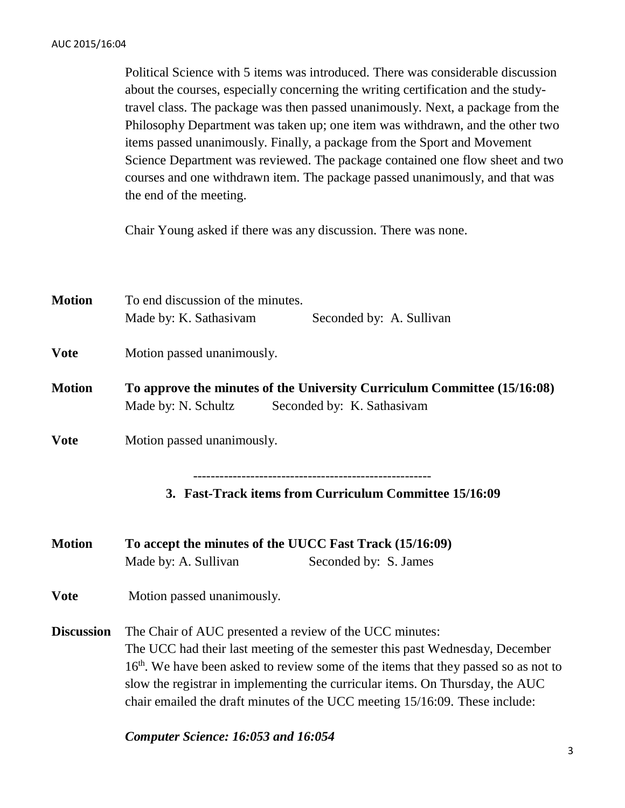Political Science with 5 items was introduced. There was considerable discussion about the courses, especially concerning the writing certification and the studytravel class. The package was then passed unanimously. Next, a package from the Philosophy Department was taken up; one item was withdrawn, and the other two items passed unanimously. Finally, a package from the Sport and Movement Science Department was reviewed. The package contained one flow sheet and two courses and one withdrawn item. The package passed unanimously, and that was the end of the meeting.

Chair Young asked if there was any discussion. There was none.

| <b>Motion</b>     | To end discussion of the minutes.<br>Made by: K. Sathasivam<br>Seconded by: A. Sullivan                                                                                                                                                                                                                                                                                                                    |  |
|-------------------|------------------------------------------------------------------------------------------------------------------------------------------------------------------------------------------------------------------------------------------------------------------------------------------------------------------------------------------------------------------------------------------------------------|--|
| <b>Vote</b>       | Motion passed unanimously.                                                                                                                                                                                                                                                                                                                                                                                 |  |
| <b>Motion</b>     | To approve the minutes of the University Curriculum Committee (15/16:08)<br>Seconded by: K. Sathasivam<br>Made by: N. Schultz                                                                                                                                                                                                                                                                              |  |
| <b>Vote</b>       | Motion passed unanimously.                                                                                                                                                                                                                                                                                                                                                                                 |  |
| <b>Motion</b>     | 3. Fast-Track items from Curriculum Committee 15/16:09<br>To accept the minutes of the UUCC Fast Track (15/16:09)<br>Made by: A. Sullivan<br>Seconded by: S. James                                                                                                                                                                                                                                         |  |
| <b>Vote</b>       | Motion passed unanimously.                                                                                                                                                                                                                                                                                                                                                                                 |  |
| <b>Discussion</b> | The Chair of AUC presented a review of the UCC minutes:<br>The UCC had their last meeting of the semester this past Wednesday, December<br>16 <sup>th</sup> . We have been asked to review some of the items that they passed so as not to<br>slow the registrar in implementing the curricular items. On Thursday, the AUC<br>chair emailed the draft minutes of the UCC meeting 15/16:09. These include: |  |

*Computer Science: 16:053 and 16:054*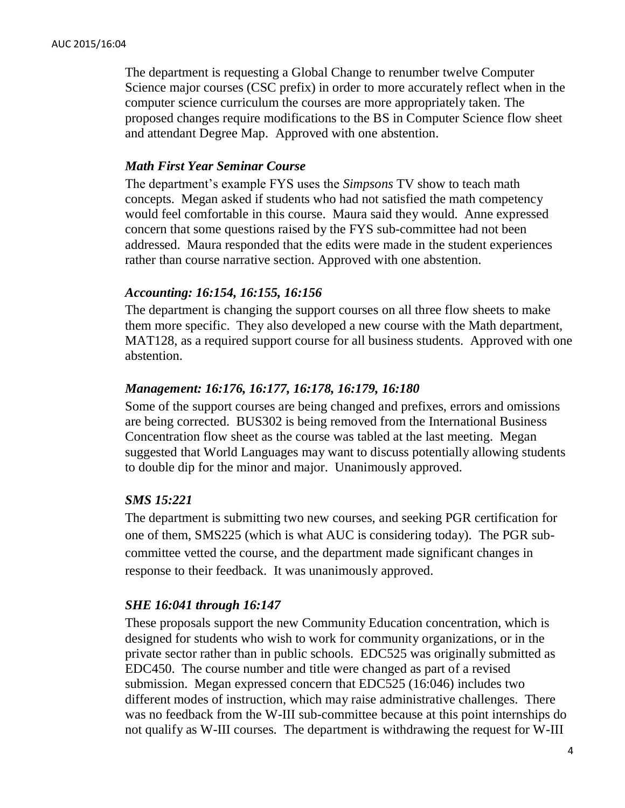The department is requesting a Global Change to renumber twelve Computer Science major courses (CSC prefix) in order to more accurately reflect when in the computer science curriculum the courses are more appropriately taken. The proposed changes require modifications to the BS in Computer Science flow sheet and attendant Degree Map. Approved with one abstention.

#### *Math First Year Seminar Course*

The department's example FYS uses the *Simpsons* TV show to teach math concepts. Megan asked if students who had not satisfied the math competency would feel comfortable in this course. Maura said they would. Anne expressed concern that some questions raised by the FYS sub-committee had not been addressed. Maura responded that the edits were made in the student experiences rather than course narrative section. Approved with one abstention.

#### *Accounting: 16:154, 16:155, 16:156*

The department is changing the support courses on all three flow sheets to make them more specific. They also developed a new course with the Math department, MAT128, as a required support course for all business students. Approved with one abstention.

#### *Management: 16:176, 16:177, 16:178, 16:179, 16:180*

Some of the support courses are being changed and prefixes, errors and omissions are being corrected. BUS302 is being removed from the International Business Concentration flow sheet as the course was tabled at the last meeting. Megan suggested that World Languages may want to discuss potentially allowing students to double dip for the minor and major. Unanimously approved.

#### *SMS 15:221*

The department is submitting two new courses, and seeking PGR certification for one of them, SMS225 (which is what AUC is considering today). The PGR subcommittee vetted the course, and the department made significant changes in response to their feedback. It was unanimously approved.

#### *SHE 16:041 through 16:147*

These proposals support the new Community Education concentration, which is designed for students who wish to work for community organizations, or in the private sector rather than in public schools. EDC525 was originally submitted as EDC450. The course number and title were changed as part of a revised submission. Megan expressed concern that EDC525 (16:046) includes two different modes of instruction, which may raise administrative challenges. There was no feedback from the W-III sub-committee because at this point internships do not qualify as W-III courses. The department is withdrawing the request for W-III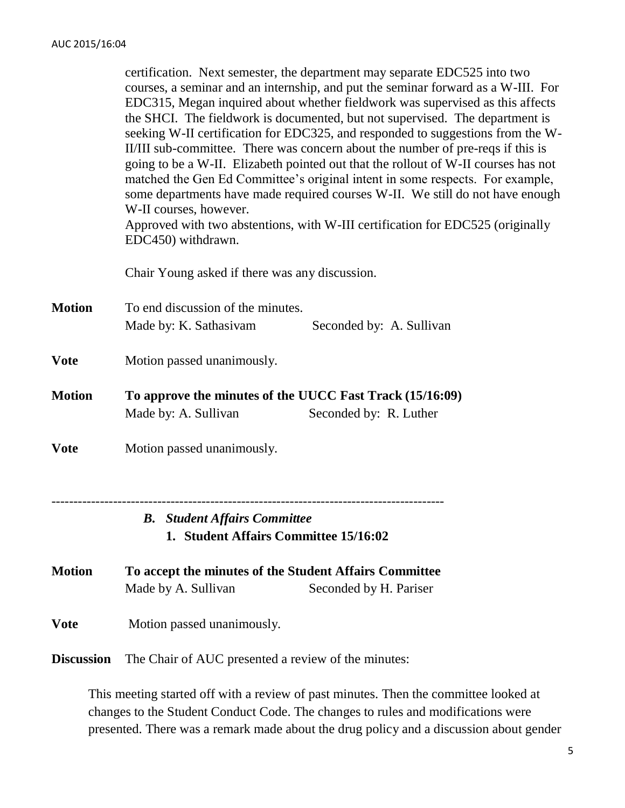|                                  | This mosting started off with a rayiow of past minutes. Then the committee looked at                                                                                                                                                                                                                                                                                                                                                                                                                                                                                                                                                                                                                                                                                                                                                                                                            |  |  |
|----------------------------------|-------------------------------------------------------------------------------------------------------------------------------------------------------------------------------------------------------------------------------------------------------------------------------------------------------------------------------------------------------------------------------------------------------------------------------------------------------------------------------------------------------------------------------------------------------------------------------------------------------------------------------------------------------------------------------------------------------------------------------------------------------------------------------------------------------------------------------------------------------------------------------------------------|--|--|
| <b>Vote</b><br><b>Discussion</b> | Motion passed unanimously.<br>The Chair of AUC presented a review of the minutes:                                                                                                                                                                                                                                                                                                                                                                                                                                                                                                                                                                                                                                                                                                                                                                                                               |  |  |
| <b>Motion</b>                    | To accept the minutes of the Student Affairs Committee<br>Made by A. Sullivan<br>Seconded by H. Pariser                                                                                                                                                                                                                                                                                                                                                                                                                                                                                                                                                                                                                                                                                                                                                                                         |  |  |
|                                  | <b>B.</b> Student Affairs Committee<br>1. Student Affairs Committee 15/16:02                                                                                                                                                                                                                                                                                                                                                                                                                                                                                                                                                                                                                                                                                                                                                                                                                    |  |  |
| <b>Vote</b>                      | Motion passed unanimously.                                                                                                                                                                                                                                                                                                                                                                                                                                                                                                                                                                                                                                                                                                                                                                                                                                                                      |  |  |
| <b>Motion</b>                    | To approve the minutes of the UUCC Fast Track (15/16:09)<br>Seconded by: R. Luther<br>Made by: A. Sullivan                                                                                                                                                                                                                                                                                                                                                                                                                                                                                                                                                                                                                                                                                                                                                                                      |  |  |
| <b>Vote</b>                      | Motion passed unanimously.                                                                                                                                                                                                                                                                                                                                                                                                                                                                                                                                                                                                                                                                                                                                                                                                                                                                      |  |  |
| <b>Motion</b>                    | To end discussion of the minutes.<br>Made by: K. Sathasivam<br>Seconded by: A. Sullivan                                                                                                                                                                                                                                                                                                                                                                                                                                                                                                                                                                                                                                                                                                                                                                                                         |  |  |
|                                  | Chair Young asked if there was any discussion.                                                                                                                                                                                                                                                                                                                                                                                                                                                                                                                                                                                                                                                                                                                                                                                                                                                  |  |  |
|                                  | certification. Next semester, the department may separate EDC525 into two<br>courses, a seminar and an internship, and put the seminar forward as a W-III. For<br>EDC315, Megan inquired about whether fieldwork was supervised as this affects<br>the SHCI. The fieldwork is documented, but not supervised. The department is<br>seeking W-II certification for EDC325, and responded to suggestions from the W-<br>II/III sub-committee. There was concern about the number of pre-reqs if this is<br>going to be a W-II. Elizabeth pointed out that the rollout of W-II courses has not<br>matched the Gen Ed Committee's original intent in some respects. For example,<br>some departments have made required courses W-II. We still do not have enough<br>W-II courses, however.<br>Approved with two abstentions, with W-III certification for EDC525 (originally<br>EDC450) withdrawn. |  |  |

This meeting started off with a review of past minutes. Then the committee looked at changes to the Student Conduct Code. The changes to rules and modifications were presented. There was a remark made about the drug policy and a discussion about gender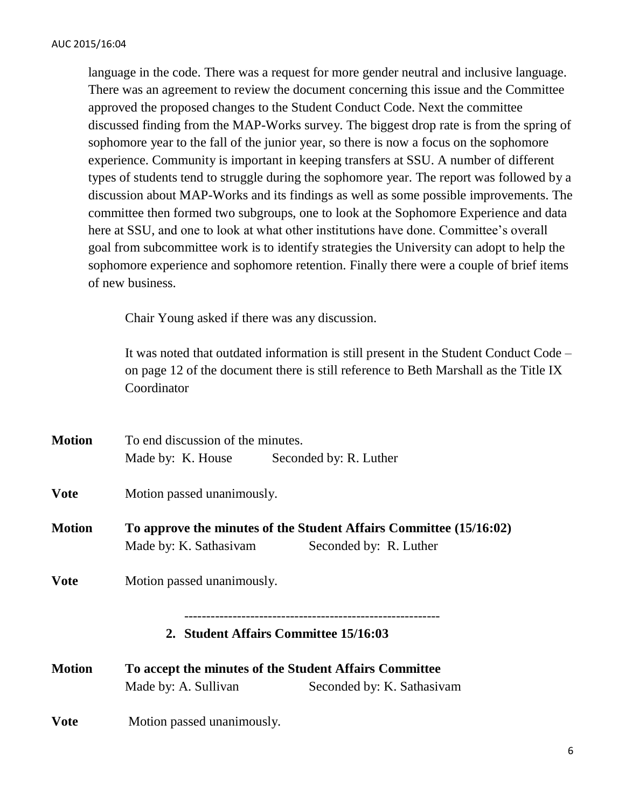language in the code. There was a request for more gender neutral and inclusive language. There was an agreement to review the document concerning this issue and the Committee approved the proposed changes to the Student Conduct Code. Next the committee discussed finding from the MAP-Works survey. The biggest drop rate is from the spring of sophomore year to the fall of the junior year, so there is now a focus on the sophomore experience. Community is important in keeping transfers at SSU. A number of different types of students tend to struggle during the sophomore year. The report was followed by a discussion about MAP-Works and its findings as well as some possible improvements. The committee then formed two subgroups, one to look at the Sophomore Experience and data here at SSU, and one to look at what other institutions have done. Committee's overall goal from subcommittee work is to identify strategies the University can adopt to help the sophomore experience and sophomore retention. Finally there were a couple of brief items of new business.

Chair Young asked if there was any discussion.

It was noted that outdated information is still present in the Student Conduct Code – on page 12 of the document there is still reference to Beth Marshall as the Title IX Coordinator

| <b>Motion</b><br>To end discussion of the minutes. |                                                                    |                                          |  |
|----------------------------------------------------|--------------------------------------------------------------------|------------------------------------------|--|
|                                                    |                                                                    | Made by: K. House Seconded by: R. Luther |  |
| <b>Vote</b>                                        | Motion passed unanimously.                                         |                                          |  |
| <b>Motion</b>                                      | To approve the minutes of the Student Affairs Committee (15/16:02) |                                          |  |
|                                                    | Made by: K. Sathasivam                                             | Seconded by: R. Luther                   |  |
| <b>Vote</b>                                        | Motion passed unanimously.                                         |                                          |  |
|                                                    |                                                                    | 2. Student Affairs Committee 15/16:03    |  |
| <b>Motion</b>                                      | To accept the minutes of the Student Affairs Committee             |                                          |  |
|                                                    | Made by: A. Sullivan                                               | Seconded by: K. Sathasivam               |  |
| <b>Vote</b>                                        | Motion passed unanimously.                                         |                                          |  |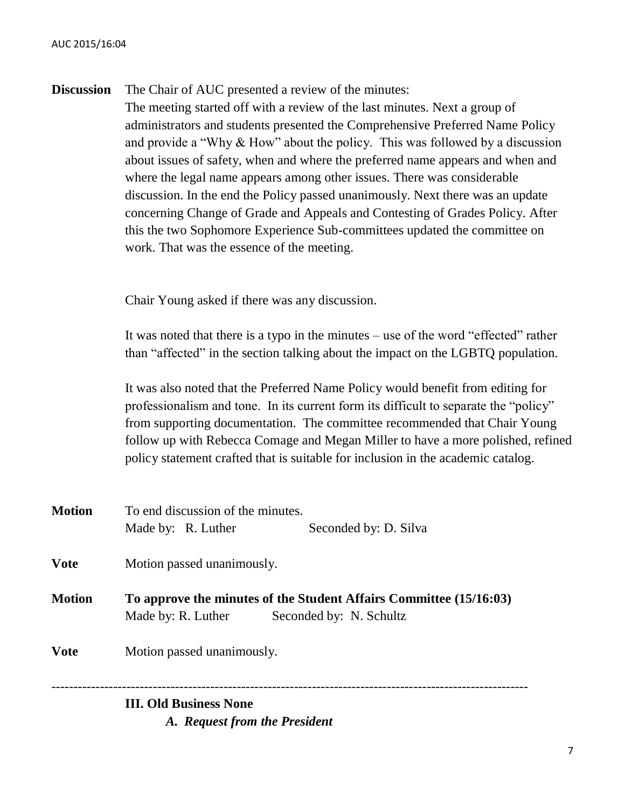|  | <b>Discussion</b> The Chair of AUC presented a review of the minutes: |
|--|-----------------------------------------------------------------------|
|--|-----------------------------------------------------------------------|

The meeting started off with a review of the last minutes. Next a group of administrators and students presented the Comprehensive Preferred Name Policy and provide a "Why & How" about the policy. This was followed by a discussion about issues of safety, when and where the preferred name appears and when and where the legal name appears among other issues. There was considerable discussion. In the end the Policy passed unanimously. Next there was an update concerning Change of Grade and Appeals and Contesting of Grades Policy. After this the two Sophomore Experience Sub-committees updated the committee on work. That was the essence of the meeting.

Chair Young asked if there was any discussion.

It was noted that there is a typo in the minutes – use of the word "effected" rather than "affected" in the section talking about the impact on the LGBTQ population.

It was also noted that the Preferred Name Policy would benefit from editing for professionalism and tone. In its current form its difficult to separate the "policy" from supporting documentation. The committee recommended that Chair Young follow up with Rebecca Comage and Megan Miller to have a more polished, refined policy statement crafted that is suitable for inclusion in the academic catalog.

|        | <b>III. Old Business None</b>     |                                                                                               |  |
|--------|-----------------------------------|-----------------------------------------------------------------------------------------------|--|
| Vote   | Motion passed unanimously.        |                                                                                               |  |
| Motion | Made by: R. Luther                | To approve the minutes of the Student Affairs Committee (15/16:03)<br>Seconded by: N. Schultz |  |
| Vote   | Motion passed unanimously.        |                                                                                               |  |
|        | Made by: R. Luther                | Seconded by: D. Silva                                                                         |  |
| Motion | To end discussion of the minutes. |                                                                                               |  |

*A. Request from the President*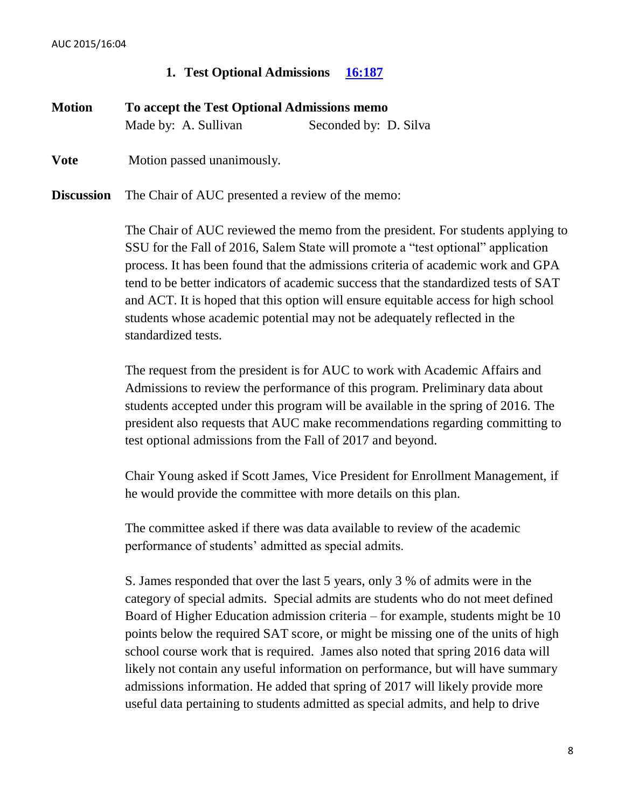## **1. Test Optional Admissions [16:187](http://www.salemstate.edu/6780.php?trackingNum=16:187&search=all)**

| <b>Motion</b>     | To accept the Test Optional Admissions memo      |                       |  |
|-------------------|--------------------------------------------------|-----------------------|--|
|                   | Made by: A. Sullivan                             | Seconded by: D. Silva |  |
| <b>Vote</b>       | Motion passed unanimously.                       |                       |  |
| <b>Discussion</b> | The Chair of AUC presented a review of the memo: |                       |  |

The Chair of AUC reviewed the memo from the president. For students applying to SSU for the Fall of 2016, Salem State will promote a "test optional" application process. It has been found that the admissions criteria of academic work and GPA tend to be better indicators of academic success that the standardized tests of SAT and ACT. It is hoped that this option will ensure equitable access for high school students whose academic potential may not be adequately reflected in the standardized tests.

The request from the president is for AUC to work with Academic Affairs and Admissions to review the performance of this program. Preliminary data about students accepted under this program will be available in the spring of 2016. The president also requests that AUC make recommendations regarding committing to test optional admissions from the Fall of 2017 and beyond.

Chair Young asked if Scott James, Vice President for Enrollment Management, if he would provide the committee with more details on this plan.

The committee asked if there was data available to review of the academic performance of students' admitted as special admits.

S. James responded that over the last 5 years, only 3 % of admits were in the category of special admits. Special admits are students who do not meet defined Board of Higher Education admission criteria – for example, students might be 10 points below the required SAT score, or might be missing one of the units of high school course work that is required. James also noted that spring 2016 data will likely not contain any useful information on performance, but will have summary admissions information. He added that spring of 2017 will likely provide more useful data pertaining to students admitted as special admits, and help to drive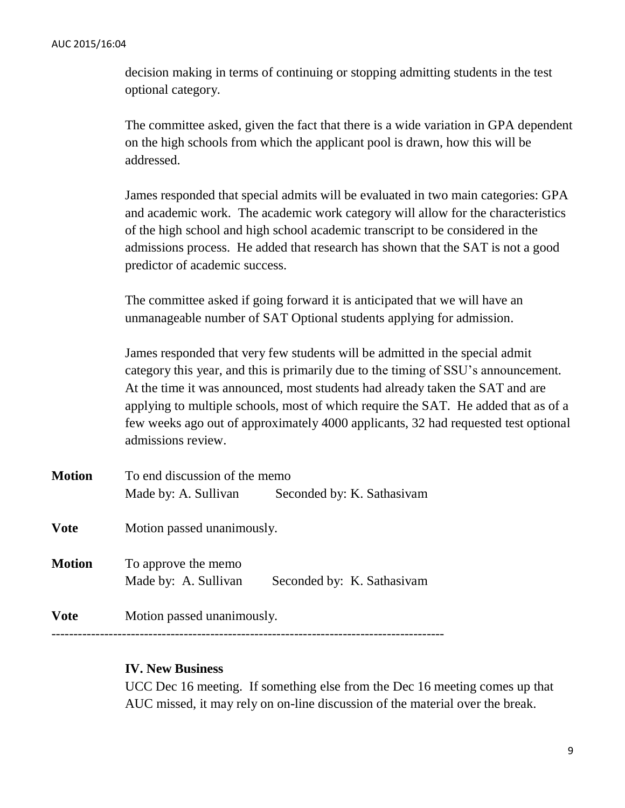decision making in terms of continuing or stopping admitting students in the test optional category.

The committee asked, given the fact that there is a wide variation in GPA dependent on the high schools from which the applicant pool is drawn, how this will be addressed.

James responded that special admits will be evaluated in two main categories: GPA and academic work. The academic work category will allow for the characteristics of the high school and high school academic transcript to be considered in the admissions process. He added that research has shown that the SAT is not a good predictor of academic success.

The committee asked if going forward it is anticipated that we will have an unmanageable number of SAT Optional students applying for admission.

James responded that very few students will be admitted in the special admit category this year, and this is primarily due to the timing of SSU's announcement. At the time it was announced, most students had already taken the SAT and are applying to multiple schools, most of which require the SAT. He added that as of a few weeks ago out of approximately 4000 applicants, 32 had requested test optional admissions review.

| <b>Motion</b> | To end discussion of the memo               |                            |
|---------------|---------------------------------------------|----------------------------|
|               | Made by: A. Sullivan                        | Seconded by: K. Sathasivam |
| <b>Vote</b>   | Motion passed unanimously.                  |                            |
| <b>Motion</b> | To approve the memo<br>Made by: A. Sullivan | Seconded by: K. Sathasivam |
| <b>Vote</b>   | Motion passed unanimously.                  |                            |
|               |                                             |                            |

## **IV. New Business**

UCC Dec 16 meeting. If something else from the Dec 16 meeting comes up that AUC missed, it may rely on on-line discussion of the material over the break.